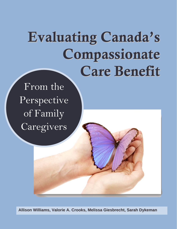# Evaluating Canada's Compassionate Care Benefit

From the Perspective of Family Caregivers

**Allison Williams, Valorie A. Crooks, Melissa Giesbrecht, Sarah Dykeman**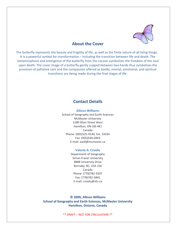

## **About the Cover**

The butterfly represents the beauty and fragility of life, as well as the finite nature of all living things. It is a powerful symbol for transformation – including the transition between life and death. The metamorphosis and emergence of the butterfly from the cocoon symbolizes the freedom of the soul upon death. The cover image of a butterfly gently cupped between two hands thus symbolizes the provision of palliative care and the compassion offered as bodily, mental, emotional, and spiritual transitions are being made during the final stages of life.

## **Contact Details**

**Allison Williams** School of Geography and Earth Sciences McMaster University 1280 Main Street West Hamilton, ON L8S 4K1 Canada Phone: (905)525‐9140, Ext. 24334 Fax: (905)546‐0463 E‐mail: [awill@mcmaster.ca](mailto:awill@mcmaster.ca)

#### **Valorie A. Crooks**

Department of Geography Simon Fraser University 8888 University Drive Burnaby, BC, V5A 1S6 Canada Phone: (778)782‐3507 Fax: (778)782‐5841 E‐mail: crooks@sfu.ca

**© 2009, Allison Williams School of Geography and Earth Sciences, McMaster University Hamilton, Ontario, Canada**

\*\* DRAFT – NOT FOR CIRCULATION \*\*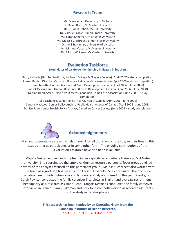## **Research Team**

Ms. Diane Allan, University of Victoria Dr. Kevin Brazil, McMaster University Dr. S. Robin Cohen, McGill University Dr. Valorie Crooks, Simon Fraser University Ms. Sarah Dykeman, McMaster University Ms. Melissa Giesbrecht, Simon Fraser University Dr. Kelli Stajduhar, University of Victoria Ms. Mirjana Vuksan, McMaster University Dr. Allison Williams, McMaster University

# **Evaluation Taskforce**

#### **Note: dates of taskforce membership indicated in brackets**

Barry Ashpole (Humber Institute, Mohawk College & Niagara College) (April 2007 – study completion) Sharon Baxter, Director, Canadian Hospice Palliative Care Association (April 2006 – study completion) Dan Charette, Human Resources & Skills Development Canada (April 2006 – June 2008) Patrick Dessureault, Human Resources & Skills Development Canada (April 2006 – June 2008) Nadine Henningsen, Executive Director, Canadian Home Care Association (June 2009 – study completion)

Julie Lachance, Senior Policy Analyst, Health Canada (April 2006 ‐ June 2009) Sandra MacLeod, Senior Policy Analyst, Public Health Agency of Canada (April 2006 ‐ June 2009) Denise Page, Senior Health Policy Analyst, Canadian Cancer Society (June 2009 – study completion)



# **Acknowledgements**

First and foremost, we are extremely thankful for all those who chose to give their time to this study either as participants or in some other form. The ongoing contributions of the Evaluation Taskforce have also been invaluable.

Mirjana Vuksan worked with the team in her capacity as a graduate trainee at McMaster University. She coordinated the employer/human resource personnel focus groups and led several of the analyses focused on this participant group. Melissa Giesbrecht also worked with the team as a graduate trainee at Simon Fraser University. She coordinated the front‐line palliative care provider interviews and led several analyses focused on this participant group. Sarah Paynter conducted the family caregiver interviews in English and oversaw recruitment in her capacity as a research assistant. Jean‐François Desbiens conducted the family caregiver interviews in French. Sarah Dykeman and Rory Johnston both worked as research assistants on the study in its later phases.

> **This research has been funded by an Operating Grant from the Canadian Institutes of Health Research.** \*\* DRAFT – NOT FOR CIRCULATION \*\*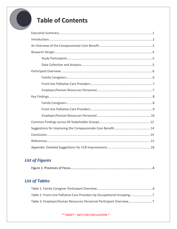

# *List of Figures*

|--|

# *List of Tables*

| Table 2: Front-Line Palliative Care Providers by Occupational Grouping7 |  |
|-------------------------------------------------------------------------|--|
| Table 3: Employer/Human Resources Personnel Participant Overview7       |  |

### \*\* DRAFT – NOT FOR CIRCULATION \*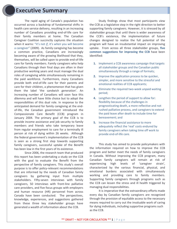# **Executive Summary**

The rapid aging of Canada's population has occurred across a backdrop of fundamental shifts in health care service delivery, resulting in an increasing number of Canadians providing end‐of‐life care for their family members at home. The Canadian Caregiver Coalition succinctly captures the situation when it warns: "it's not *if*, it's *when* you will become a caregiver" (2009). As family caregiving has become a common practice, Canadians are increasingly becoming aware of the growing likelihood that they, themselves, will be called upon to provide end‐of‐life care for family members. Family caregivers who help Canadians through their final days are often in their productive working years and must manage the dual roles of caregiving while simultaneously remaining in the paid workforce. Furthermore, many Canadians provide both end‐of‐life care for their parents and care for their children, a phenomenon that has given them the label 'the sandwich generation'. An increasing number of Canadians will soon face this dilemma and will have little choice but to adopt the responsibilities of this dual role. In response to the anticipated demand for family caregiving at the end‐ of‐life, the Canadian government introduced the Compassionate Care Benefit (CCB) program in January 2004. The primary goal of the CCB is to provide income assistance and job security to family members and friends who take temporary leave from regular employment to care for a terminally ill person at risk of dying within 26 weeks. Although the federal government's implementation of the CCB is seen as a strong first step towards supporting family caregivers, successful uptake of the Benefit has been low in the first years of its existence.

Since 2006, the research team that produced this report has been undertaking a study on the CCB with the goal to evaluate the Benefit from the perspective of family caregivers. This study's overall purpose is to offer policy-relevant recommendations that are informed by the needs of Canadian family caregivers by gathering input from multiple stakeholders. Fifty-seven interviews with family caregivers, 50 interviews with front‐line palliative care providers, and five focus groups with employers and human resource (HR) personnel from across Canada have been conducted. The perspectives, knowledge, experiences, and suggestions gathered from these three key stakeholder groups have generated a wealth of information about the CCB.

Study findings show that most participants view the CCB as a legislative step in the right direction to better supporting family caregivers. However, it is stressed by all stakeholder groups that until there is wider awareness of the CCB's existence, the implementation of future changes designed to realize the full potential of the program will have an insubstantial impact on improving uptake. From across all three stakeholder groups, **five common suggestions for improving the CCB** have been identified:

- **1.** Implement a CCB awareness campaign that targets all stakeholder groups and the Canadian public simultaneously through a range of formats;
- **2.** Improve the application process to be quicker, simpler, and more sensitive to the stressful and emotional realities of CCB applicants;
- **3.** Eliminate the required two-week unpaid waiting period;
- **4.** Lengthen the period of support to allow for: flexibility because of the challenges in prognosticating death, a more reflective and not rushed palliative process, and caregivers to extend the paid leave after death to include time for bereavement; and
- **5.** Increase the financial assistance to more adequately reflect the 'real' costs endured by family caregivers when taking time off work to provide end‐of‐life care.

This study has aimed to provide policymakers with the information required on how to improve the CCB program and better meet the needs of family caregivers in Canada. Without improving the CCB program, many Canadian family caregivers will remain at risk of experiencing high levels of 'caregiver strain', characterized by the various financial, physical, and emotional burdens associated with simultaneously working and providing care to family members. Supporting family caregivers through programs such as the CCB can lessen the stress and ill health triggered by managing dual responsibilities.

It is imperative that the extraordinary efforts made every day by Canadian family caregivers are recognized through the provision of equitable access to the necessary means required to carry out the invaluable work of caring for dying individuals, including supportive programs such as the CCB.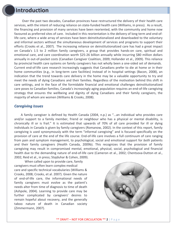# **Introduction**

Over the past two decades, Canadian provinces have restructured the delivery of their health care services, with the intent of reducing reliance on state-funded health care (Williams, in press). As a result, the financing and provision of many services have been reoriented, with the community and home now favoured as preferred sites of care. Included in this reorientation is the delivery of long term and end‐of‐ life care, where a wide array of services have been deinstitutionalized and downloaded to the voluntary and informal sectors without the simultaneous development of services and programs to support their efforts (Crooks et al., 2007). The increasing reliance on deinstitutionalized care has had a great impact on Canada's 1.5 to 2 million family caregivers, a group that provides hands‐on care, spiritual and emotional care, and care coordination worth \$25‐26 billion annually while incurring \$80 million dollars annually in out‐of‐pocket costs (Canadian Caregiver Coalition, 2009; Hollander et al., 2009). This reliance by provincial health care systems on family caregivers has not wholly been a one‐sided set of demands. Current end‐of‐life care research increasingly suggests that Canadians prefer to die at home or in their home communities (e.g., in long-term care facilities) instead of in hospital settings (Bacon, 2008), an indication that the trend towards care delivery in the home may be a valuable opportunity to try and meet the needs of dying Canadians and their families. Regardless of the motivation behind this shift in care settings, and in the face of the formidable financial and emotional challenges deinstitutionalized care poses to Canadian families, Canada's increasingly aging population requires an end‐of‐life caregiving strategy that ensures the wellbeing and dignity of dying Canadians and their family caregivers, the majority of whom are women (Williams & Crooks, 2008).

#### *Caregiving Issues*

A family caregiver is defined by Health Canada (2004, n.p.) as "...an individual who provides care and/or support to a family member, friend or neighbour who has a physical or mental disability, is chronically ill or is frail." It is estimated that upwards of 70% of all care provided for ill or dying individuals in Canada is given by family caregivers (Romanow, 2002). In the context of this report, family caregiving is used synonymously with the term "informal caregiving" and is focused specifically on the provision of care at the end of the life course. End‐of‐life care involves a full continuum of care ranging from pain and symptom management, to psychological, social and emotional support for *both* patients and their family caregivers (Health Canada, 2009b). This recognizes that the provision of family caregiving may result in compromised mental, emotional, physical, social, psychological and financial health due to the demanding nature of end-of-life care (Cameron et al., 2002; Chentsova-Dutton et al., 2002; Reid et al., in press; Stajduhar & Cohen, 2009).

 When called upon to provide care, family caregivers must often learn complex medical care and specific technical vocabularies (Williams & Crooks, 2008; Crooks, et al. 2007). Given the nature of end‐of‐life care, the informational needs of family caregivers must evolve as the patient's needs alter from time of diagnosis to time of death (Ashpole, 2004). Learning to provide care may be further complicated by caregivers' desires to remain hopeful about recovery, and the generally taboo nature of death in Canadian society (Zimmermann, 2007).

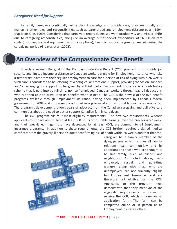## *Caregivers' Need for Support*

As family caregivers continually refine their knowledge and provide care, they are usually also managing other roles and responsibilities, such as parenthood and employment (Kissane et al., 1994; MacBride‐King, 1999). Considering that caregivers report decreased work productivity and missed shifts due to caregiving responsibilities, alongside an average out‐of‐pocket expenditure of \$6,000 on care costs (including medical equipment and prescriptions), financial support is greatly needed during the caregiving period (Greaves et al. ,2002).

# **An Overview of the Compassionate Care Benefit**

Broadly speaking, the goal of the Compassionate Care Benefit (CCB) program is to provide job security and limited income assistance to Canadian workers eligible for Employment Insurance who take a temporary leave from their regular employment to care for a person at risk of dying within 26 weeks. Such care is considered to be: offering psychological or emotional support, providing 'hands on' support, and/or arranging for support to be given by a third party. Employment Insurance is a contributory scheme that is paid into by full-time, non-self-employed, Canadian workers through payroll deductions, who are then able to draw upon its benefits when in need. The CCB is the newest of the five benefit programs available through Employment Insurance, having been implemented by Canada's federal government in 2004 and subsequently adopted into provincial and territorial labour codes soon after. The program's development follows years of advocacy from the Canadian caregiving and palliative care communities about the need to better support Canadian family caregivers.

The CCB program has four main eligibility requirements. The first two requirements, wherein applicants must have accumulated at least 600 hours of insurable earnings over the preceding 52 weeks and their weekly earnings must have decreased by at least 40%, are common to all Employment Insurance programs. In addition to these requirements, the CCB further requires a signed medical certificate from the gravely ill person's doctor confirming risk of death within 26 weeks and that that the



caregiver be a family member of the dying person, which includes all familial relations (e.g., common‐law and by adoption) and those who are thought to be like family, such as friends and neighbours. As noted above, self‐ employed, casual, and part‐time workers, along with those who are unemployed, are not currently eligible for Employment Insurance, and are therefore not eligible for the CCB. Applicants to the program must demonstrate that they meet *all* of the eligibility requirements in order to receive the CCB, which is done via an application form. The form can be completed online or in person at an Employment Insurance office.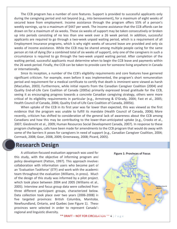The CCB program has a number of core features. Support is provided to successful applicants only during the caregiving period and not beyond (e.g., into bereavement), for a maximum of eight weeks of secured leave from employment. Income assistance through the program offers 55% of a person's weekly earnings, up to a maximum of \$447 per week. The income assistance that the CCB affords can be drawn on for a maximum of six weeks. These six weeks of support may be taken consecutively or broken up into periods consisting of no less than one week over a 26 week period. In addition, successful applicants are required to go through a two-week unpaid waiting period, which is a requirement of all Employment Insurance programs, which is why eight weeks of secured leave are provided and only six weeks of income assistance. While the CCB may be shared among multiple people caring for the same person at risk of dying (for a combined total of six weeks of support), only one of the caregivers in such a circumstance is required to go through the two‐week unpaid waiting period. After completion of the waiting period, successful applicants must determine when to begin the CCB leave and payments within the 26 week period. Finally, the CCB can be taken to provide care for someone living anywhere in Canada or internationally.

Since its inception, a number of the CCB's eligibility requirements and core features have garnered significant criticism. For example, even before it was implemented, the program's short remuneration period and requirement for a medical certificate to certify that death is imminent were viewed as harsh (MacLellan, 2003). Furthermore, while initial reports from the Canadian Caregiver Coalition (2004) and Quality End‐of‐Life Care Coalition of Canada (2005a) primarily expressed broad gratitude for the CCB, seeing it as encouraging progress towards a concrete Canadian caregiving strategy, others were more critical of its eligibility requirements in particular (e.g., Armstrong & O'Grady, 2004; Fast et al., 2005; Health Council of Canada, 2006; Quality End‐of‐Life Care Coalition of Canada, 2005b).

When uptake of the CCB in its first year was far lower than expected, this was viewed as the first evidence that the program was unable to fulfill its mandate (Health Council of Canada, 2006). More recently, criticism has shifted to consideration of the general lack of awareness about the CCB among Canadians and how this may be contributing to the lower-than-anticipated uptake (e.g., Crooks et al., 2007; Giesbrecht et al., 2009; Human Resources Social Development Canada, 2007). In response to these program challenges, calls have been made for amendments to the CCB program that would do away with some of the barriers it poses for caregivers in need of support (e.g., Canadian Caregiver Coalition, 2004; Cormack, 2008; Goar, 2008, 2009; Greenaway, 2008; Picard, 2005).

# **Research Design**

A utilization‐focused evaluation approach was used for this study, with the objective of informing program and policy development (Patton, 1997). This approach involves collaboration with information users who become part of an 'Evaluation Taskforce' (ETF) and work with the academic team throughout the evaluation (Williams, in press). Much of the design of this study was informed by a pilot project, which took place between 2004 and 2005 (Williams et al., 2005). Interview and focus group data were collected from three different participant groups, characterized below. Data collection took place over two years (2006‐2008) in five targeted provinces: British Columbia, Manitoba, Newfoundland, Ontario, and Quebec (see Figure 1). These provinces were selected in order to represent Canada's regional and linguistic diversity.



\*\* DRAFT – NOT FOR CIRCULATION \*\* **4** | Page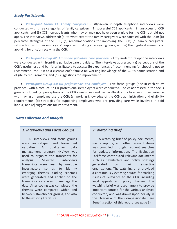#### *Study Participants*

• *Participant Group #1: Family Caregivers ‐*  Fifty‐seven in‐depth telephone interviews were conducted with three categories of family caregivers: (1) successful CCB applicants, (2) unsuccessful CCB applicants, and (3) CCB non‐applicants who may or may not have been eligible for the CCB, but did not apply. The interviews addressed: (a) to what extent the family caregivers were satisfied with the CCB; (b) perceived strengths of the CCB; (c) recommendations for improving the CCB; (d) family caregivers' satisfaction with their employers' response to taking a caregiving leave; and (e) the logistical elements of applying for and/or receiving the CCB.

• *Participant Group #2: Front‐line palliative care providers ‐*  Fifty in‐depth telephone interviews were conducted with front‐line palliative care providers. The interviews addressed: (a) perceptions of the CCB's usefulness and barriers/facilitators to access; (b) experiences of recommending (or choosing not to recommend) the CCB to a client/client's family; (c) working knowledge of the CCB's administration and eligibility requirements; and (d) suggestions for improvement.

• *Participant Group #3: HR professionals and employers ‐*  Five focus groups (one in each study province) with a total of 27 HR professionals/employers were conducted. Topics addressed in the focus groups included: (a) perceptions of the CCB's usefulness and barriers/facilitators to access; (b) experience with having an employee use the CCB; (c) working knowledge of the CCB's administration and eligibility requirements; (d) strategies for supporting employees who are providing care while involved in paid labour; and (e) suggestions for improvement.

### *Data Collection and Analysis*

#### *1: Interviews and Focus Groups*

All interviews and focus groups were audio-taped and transcribed verbatim. A qualitative data management program (NVivo) was used to organize the transcripts for analysis. Selected interviews transcripts were read by multiple investigators so as to identify emerging themes. Coding schemes were generated and applied to the transcripts as a way to manage the data. After coding was completed, the themes were compared within and between stakeholder groups, and also to the existing literature.

### *2: Watching Brief*

A watching brief of policy documents, media reports, and other relevant items was compiled through frequent searches for updated information. The Evaluation Taskforce contributed relevant documents such as newsletters and policy briefings generated by their respective organizations. The watching brief provided a continuously evolving source for tracking issues of relevance to the CCB, including legal appeals and policy changes. The watching brief was used largely to provide important context for the various analyses conducted, and was drawn upon heavily in the Overview of the Compassionate Care Benefit section of this report (see page 3).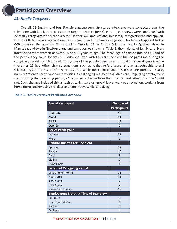# **Participant Overview**

## *#1: Family Caregivers*

Overall, 53 English‐ and four French‐language semi‐structured interviews were conducted over the telephone with family caregivers in the target provinces (n=57). In total, interviews were conducted with 22 family caregivers who were successful in their CCB applications; five family caregivers who had applied to the CCB, but whose applications were denied; and, 30 family caregivers who had not applied to the CCB program. By province, 24 resided in Ontario, 23 in British Columbia, five in Quebec, three in Manitoba, and two in Newfoundland and Labrador. As shown in Table 1, the majority of family caregivers interviewed were women between 45 and 54 years of age. The mean age of participants was 48 and of the people they cared for was 66. Forty-one lived with the care recipient full- or part-time during the caregiving period and 16 did not. Thirty-four of the people being cared for had a cancer diagnosis while the other 23 had other chronic conditions such as Alzheimer's disease, stroke, amyotrophic lateral sclerosis, cystic fibrosis, and/or heart disease. While most participants discussed one primary disease, many mentioned secondary co-morbidities, a challenging reality of palliative care. Regarding employment status during the caregiving period, 41 reported a change from their normal work situation while 16 did not. Such changes included things such as taking paid or unpaid leave, workload reduction, working from home more, and/or using sick days and family days while caregiving.

| <b>Age of Participant</b>                     | <b>Number of</b>    |
|-----------------------------------------------|---------------------|
|                                               | <b>Participants</b> |
| Under 44                                      | 19                  |
| 45-54                                         | 21                  |
| 55-64                                         | 15                  |
| Over <sub>65</sub>                            | $\overline{2}$      |
| <b>Sex of Participant</b>                     |                     |
| Female                                        | 51                  |
| Male                                          | 6                   |
| <b>Relationship to Care Recipient</b>         |                     |
| Spouse                                        | 37                  |
| Parent                                        | 14                  |
| Child                                         | 3                   |
| Sibling                                       | $\overline{2}$      |
| Aunt/Uncle                                    | 1                   |
| <b>Length of Caregiving Period</b>            |                     |
| Less than 6 months                            | 13                  |
| 7 to 1 year                                   | 11                  |
| 1 to 2 years                                  | 7                   |
| 2 to 3 years                                  | $\overline{7}$      |
| More than 3 years                             | 19                  |
| <b>Employment Status at Time of Interview</b> |                     |
| Full-time                                     | 40                  |
| Less than full-time                           | 8                   |
| Retired                                       | 5                   |
| On leave                                      | $\overline{4}$      |

#### **Table 1: Family Caregiver Participant Overview**

\*\* DRAFT – NOT FOR CIRCULATION \*\* **6** | Page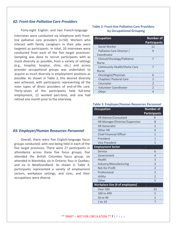### *#2: Front‐line Palliative Care Providers*

Forty‐eight English‐ and two French‐language interviews were conducted via telephone with front‐ line palliative care providers (n=50). Workers who interact with family caregivers in their jobs were targeted as participants. In total, 10 interviews were conducted from each of the five target provinces. Sampling was done to recruit participants with as much diversity as possible, from a variety of settings (e.g., hospital, hospice, clinic, etc.) and across provider occupational groups was undertaken to acquire as much diversity in employment positions as possible. As shown in Table 2, this desired diversity was achieved, with participants representing all the main types of direct providers of end‐of‐life care. Thirty‐seven of the participants held full‐time employment, 12 worked part‐time, and one had retired one month prior to the interview.

#### *#3: Employer/Human Resources Personnel*

Overall, there were five English‐language focus groups conducted, with one being held in each of the five target provinces. There were 27 participants in attendance across these five focus groups; five attended the British Columbia focus group; six attended in Manitoba; six in Ontario; four in Quebec; and six in Newfoundland. As shown in Table 3, participants represented a variety of employment sectors, workplace settings, and sizes, and their occupations were diverse.

#### **Table 2: Front‐line Palliative Care Providers by Occupational Grouping**

| <b>Occupation</b>                 | <b>Number of</b><br><b>Participants</b> |
|-----------------------------------|-----------------------------------------|
| Social Worker                     | 11                                      |
| Palliative Care Director /        | 9                                       |
| Coordinator                       |                                         |
| Clinical/Oncology/Palliative      | 7                                       |
| <b>Nurse</b>                      |                                         |
| <b>Community Health/Home Care</b> | 7                                       |
| <b>Nurse</b>                      |                                         |
| Oncologist/Physician              | 6                                       |
| Chaplain/ Pastoral Care           | $\mathfrak{D}$                          |
| Counselor                         | $\overline{2}$                          |
| <b>Volunteer Coordinator</b>      | $\mathfrak{D}$                          |
| Other                             | Δ                                       |

#### **Table 3: Employer/Human Resources Personnel**

| <b>Occupation</b>                      | <b>Number of</b><br><b>Participants</b> |
|----------------------------------------|-----------------------------------------|
| HR Advisor/Consultant                  | 9                                       |
| HR Manager/Director/Supervisor         | 8                                       |
| <b>HR Generalist</b>                   | 3                                       |
| Other HR                               | $\overline{4}$                          |
| <b>Chief Financial Officer</b>         | 1                                       |
| President                              | 1                                       |
| <b>Vice President</b>                  | 1                                       |
| <b>Employment Sector</b>               |                                         |
| Service                                | 6                                       |
| Government                             | $\overline{4}$                          |
| Health                                 | $\overline{3}$                          |
| Industry/Manufacturing                 | 3                                       |
| Not-for-Profit                         | $\overline{2}$                          |
| Professional                           | $\overline{2}$                          |
| Utility                                | $\overline{2}$                          |
| Other                                  | 5                                       |
| <b>Workplace Size (# of employees)</b> |                                         |
| <b>Over 500</b>                        | 13                                      |
| 100 to 499                             | 5                                       |
| 20 to 99                               | $\overline{2}$                          |
| 1 to 19                                | $\overline{7}$                          |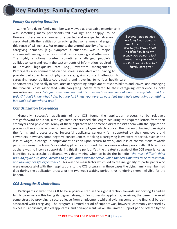# **Key Findings: Family Caregivers**

## *Family Caregiving Realities*

Caring for a dying family member was viewed as a valuable experience: it was something many participants felt "willing" and "happy" to do. However, there were a number of expected and unexpected stresses associated with the realities of caregiving that sometimes challenged this sense of willingness. For example, the unpredictability of certain caregiving demands (e.g., symptom fluctuations) was a major stressor influencing other responsibilities, caregiving and otherwise. The highly emotional context sometimes challenged people's abilities to learn and retain the vast amounts of information required to provide high‐quality care (e.g., symptom management). Participants also commented on the stress associated with: having to provide particular types of physical care; giving constant attention to caregiving responsibilities; coordinating and travelling to various health care

*"Because I had no idea how long I was going to have to be off of work and I…you know, I had no idea how long my money was going to last. I mean, I was prepared to sell the house if I had to."* – family caregiver

appointments (especially in rural areas); negotiating employment responsibilities and leaves; and managing the financial costs associated with caregiving. Many referred to their caregiving experience as both rewarding and busy: "It's just so exhausting, and it's amazing how you can look back and say 'what did I do today? I don't know what I did, but you just knew you were on your feet the whole time doing something, *but don't ask me what it was."*

## *CCB Utilization Experiences*

Generally, successful applicants of the CCB found the application process to be relatively straightforward and clear, although some experienced challenges acquiring the required letters from their employers and physicians. Many of these applicants had someone directly assist them with the application process, often a social worker or Service Canada employee, which reduced the burden of having to navigate the forms and process alone. Successful applicants generally felt supported by their employers and coworkers; however, some negative consequences of taking a caregiving leave were reported, such as the loss of wages, a change in employment position upon return to work, and loss of contributions towards pensions during the leave. Successful applicants also found the two week waiting period difficult to endure as there was no income support during this time period. Yet, the greatest struggle of the CCB experience, as identified by successful applicants, was determining when to begin the benefit: *"the most difficult thing* was...to figure out, once I decided to go on Compassionate Leave, when the best time was to be to take that, *not knowing her life expectancy."* This was the main factor which led to the ineligibility of participants who were unsuccessful with their applications to the CCB program. In these cases the dying family member had died during the application process or the two week waiting period, thus rendering them ineligible for the benefit.

## *CCB Strengths & Limitations*

Participants viewed the CCB to be a positive step in the right direction towards supporting Canadian family caregivers – this being its biggest strength. For successful applicants, receiving the benefit relieved some stress by providing a secured leave from employment while alleviating some of the financial burden associated with caregiving. The program's limited period of support was, however, commonly criticized by successful applicants, denied applicants, and non‐applicants alike. The limited support period offered by the

#### \*\* DRAFT – NOT FOR CIRCULATION \*\* **8** | Page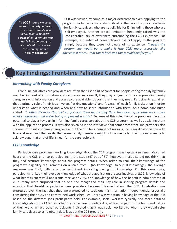*"it [CCB] gave me some sense of security in terms of - at least there's one thing, from a financial perspective, in my life that I don't have to worry so much about…so I could focus on my mom."*  – family caregiver

CCB was viewed by some as a major deterrent to even applying to the program. Participants were also critical of the lack of support available for family caregivers who are not eligible for EI, including those who are self-employed. Another critical limitation frequently raised was the considerable lack of awareness surrounding the CCB's existence. For example, a number of non-applicants did not apply to the program simply because they were not aware of its existence. *"I guess the bottom line would be to make it [the CCB] more accessible, like advertise it more… that this is here and this is available for you."*

# **Key Findings: Front‐line Palliative Care Providers**

#### *Interacting with Family Caregivers*

Front line palliative care providers are often the first point of contact for people caring for a dying family member in need of information and resources. As a result, they play a significant role in providing family caregivers with information and access to the available supports that they may need. Participants explained that a primary role of their jobs involves "asking questions" and "assessing" each family's situation in order understand what is needed and when and how to share information with them. As a home care nurse stated: "...often it's more that we're informing them before they think they need it, because we can see *what's happening and we're trying to prevent a crisis."* Because of this role, front‐line providers have the potential to play a key part in informing family caregivers about the CCB program, as well as assisting them with the application process. It was also revealed in the interviews that sometimes front‐line providers also choose not to inform family caregivers about the CCB for a number of reasons, including its association with financial need and the reality that some family members might not be mentally or emotionally ready to acknowledge that end‐of‐life is near for the care recipient.

#### *CCB Knowledge*

Palliative care providers' working knowledge about the CCB program was typically minimal. Most had heard of the CCB prior to participating in the study (47 out of 50); however, most also did not think that they had accurate knowledge about the program details. When asked to rank their knowledge of the program's eligibility requirements on a scale from 1 (no knowledge) to 5 (full knowledge), the average response was 2.97, with only one participant indicating having full knowledge. On this same scale, participants ranked their average knowledge of what the application process involves at 2.79, knowledge of what benefits successful applicants receive at 2.35, and knowledge of how the benefit is administered at 2.57. Many were surprised that no one had recognized their key role in sharing program details and ensuring that front‐line palliative care providers become informed about the CCB. Frustration was expressed over the fact that they were expected to seek out this information independently, especially considering their busy and constrained work schedules. There was variation in having knowledge of the CCB based on the different jobs participants held. For example, social workers typically had more detailed knowledge about the CCB than other front‐line care providers due, at least in part, to the focus and nature of their work. In fact, other participants indicated that it was social workers to whom they would refer family caregivers so as to obtain details about the CCB program.

\*\* DRAFT – NOT FOR CIRCULATION \*\* 9 | P a g e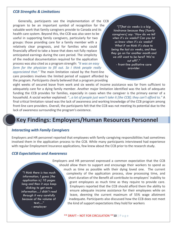#### *CCB Strengths & Limitations*

Generally, participants see the implementation of the CCB program to be an important symbol of recognition for the valuable work that family caregivers provide to Canada and its health care system. Beyond this, the CCB was also seen to be useful in supporting family caregivers, particularly for two groups: those providing care for a family member with a relatively clear prognosis, and for families who could financially afford to take a leave that does not fully replace anticipated earnings during the care period. The simplicity of the medical documentation required for the application process was also cited as a program strength: *"It was an easy form for the physician to fill out. So I think people really appreciated that."* The main limitation raised by the front‐line care providers involves the limited period of support afforded by the program. Participants clearly believed that a program providing

*"[T]hat six weeks is a big hindrance because they [family caregivers] say: 'How do we tell when it's six weeks? Can you let us know when it's six weeks? What if we think it's close to being the last six weeks, and then they go on for another month and we still want to be here? We're cut off!'."*  - front-line palliative care **provider** 

eight weeks of secured leave from work and six weeks of income assistance was far from sufficient to adequately care for a dying family member. Another major limitation identified was the lack of adequate funding the CCB provides for families, especially in cases when the caregiver is the primary earner of a household. A social worker explained: *"…a lot of people just won't take it [the CCB]; they can't afford to."* A final critical limitation raised was the lack of awareness and working knowledge of the CCB program among front‐line care providers. Overall, the participants felt that the CCB was not meeting its potential due to the lack of awareness surrounding the program's existence.

# **Key Findings: Employers/Human Resources Personnel**

### *Interacting with Family Caregivers*

Employers and HR personnel reported that employees with family caregiving responsibilities had sometimes involved them in the application process to the CCB. While many participants interviewed had experience with regular Employment Insurance applications, few knew about the CCB prior to the research study.

### *CCB Expectations and Awareness*

*"I think there is too much information; I guess [the application is] 10 pages long and then it says keep clicking to get more information…I didn't read through it very carefully because of the* volume of text…" - employer

Employers and HR personnel expressed a common expectation that the CCB should allow them to support and encourage their workers to spend as much as time as possible with their dying loved one. The current complexity of the application process, slow processing time, and short duration of the Benefit all contribute to employers' inability to grant employees as much time as they require to provide care. Employers reported that the CCB should afford them the ability to ensure adequate income assistance for their employees while on leave, deeming the current maximum of 55% wage allotment inadequate. Participants also discussed how the CCB does not meet the kind of support expectations they hold for workers

\*\* DRAFT – NOT FOR CIRCULATION \*\***10** | Page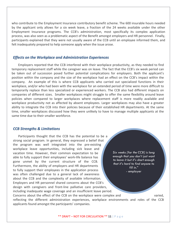who contribute to the Employment Insurance contributory benefit scheme. The 600 insurable hours needed by the applicant only allows for a six week leave, a fraction of the 24 weeks available under the other Employment Insurance programs. The CCB's administration, most specifically its complex application process, was also seen as a problematic aspect of the Benefit amongst employers and HR personnel. Finally, participants explained that they were not usually aware of the CCB until an employee informed them, and felt inadequately prepared to help someone apply when the issue arose.

#### *Effects on the Workplace and Administration Experiences*

Employers reported that the CCB interfered with their workplace productivity, as they needed to find temporary replacement staff while the caregiver was on leave. The fact that the CCB's six week period can be taken out of succession posed further potential complications for employers. Both the applicant's position within the company and the size of the workplace had an effect on the CCB's impact within the company. An example of this is where CCB applicants who carried out specialized functions in their workplace, and/or who had been with the workplace for an extended period of time were more difficult to temporarily replace than less specialized or experienced workers. The CCB also had different impacts on companies of different sizes. Smaller workplaces might struggle to offer the same flexibility around leave policies when compared to larger workplaces where replacement staff is more readily available and workplace productivity not as affected by absent employees. Larger workplaces may also have a greater ability to integrate the CCB into their policies because of their established HR departments. At the same time, smaller workplaces discussed how they were unlikely to have to manage multiple applicants at the same time due to their smaller workforce.

#### *CCB Strengths & Limitations*

*Six weeks [for the CCB] is long enough that you don't just want to leave it but it's short enough that it's hard to find anyone to fill in."* - employer Participants thought that the CCB has the potential to be a strong social program. In general, they expressed a belief that the program was well integrated into the pre‐existing workplace leave opportunities, including sick leave and vacation time. However, their common expectation to be able to fully support their employees' work‐life balance has gone unmet by the current structure of the CCB. Furthermore, the ability of employers and HR departments to fully support their employees in the application process was often challenged due to a general lack of awareness about the CCB and the complexity of available information. Employers and HR personnel shared concerns about the CCB's design with caregivers and front‐line palliative care providers, including inadequate wage coverage and an insufficient leave period. Concerns about the effect of the CCB on the workplace were complex and varied, reflecting the different administration experiences, workplace environments and roles of the CCB applicants found amongst the participants' companies.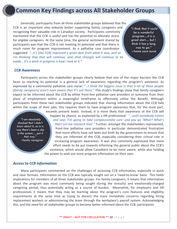# **Common Key Findings across All Stakeholder Groups**

Generally, participants from all three stakeholder groups believed that the CCB is an important step towards better supporting family caregivers and recognizing their valuable role in Canadian society. Participants commonly mentioned that the CCB is useful and has the potential to alleviate stress for eligible caregivers. At the same time, the general sentiment shared by participants was that the CCB is not meeting its potential and that there is much room for program improvement. As a palliative care coordinator suggested: *"…it's [the CCB] improved a great deal from what it was, and so I'm thinking that that will continue, and…that changes will continue to be made… It's a work in progress is how I look at it."*

"*"I think that it could be a wonderful program…it is a great start… but I think it has a long way to go."*   **-** home care nurse

#### *CCB Awareness*

Participants across the stakeholder groups clearly believe that one of the major barriers the CCB faces to reaching its potential is a general lack of awareness regarding the program's existence. As expressed by a community palliative care nurse: *"...I think the biggest issue is that a lot of these people [family caregivers] aren't even aware that it's out there."* This study's findings show that family caregivers expect to be informed about the CCB by either front-line palliative care providers or someone from their place of employment within a meaningful timeframe to effectively utilize the Benefit. Although participants from these two stakeholder groups indicated that sharing information about the CCB falls within the scope of their jobs, this requires them to have program awareness that, for the most part,

*""I am absolutely shocked that I didn't know about it, so in a way there's been a slip in the system… put it that way."*  -family caregiver

exceeds present levels. Instead, it is more likely that awareness of the CCB will happen by chance, as explained by a HR professional*: "…until somebody comes and says 'I'm going to take compassionate care' and you go 'What? What's that? Let me research that'."* Further, amongst the stakeholders represented, front‐line palliative care providers in particular demonstrated frustration that more efforts have not been put forth by the government to ensure that they are informed of the CCB, especially considering their critical role in increasing program awareness. It was also commonly expressed that more effort needs to be put towards informing the general public about the CCB's existence, which would allow Canadians to be more aware, while also holding the power to seek out more program information on their own.

#### *Access to CCB Information*

Many participants commented on the challenges of accessing CCB information, especially in quick and clear formats. Information on the CCB was typically sought out on a 'need-to-know' basis. This holds implications for members of all three stakeholder groups. For family caregivers, it means that information about the program was most commonly being sought during the stressful and emotionally‐charged caregiving period, thus potentially acting as a source of burden. Meanwhile, for employers and HR professionals it means that they may be learning about the program's core features and eligibility requirements at the same time as trying to discern the more immediate concerns regarding hiring replacement workers or administering the leave through the workplace's payroll system. Acknowledging this, and the need for all stakeholder groups to become better informed about the CCB, participants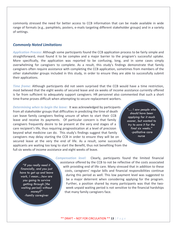commonly stressed the need for better access to CCB information that can be made available in wide range of formats (e.g., pamphlets, posters, e‐mails targeting different stakeholder groups) and in a variety of settings.

#### *Commonly Noted Limitations*

*Application Process***:** Although some participants found the CCB application process to be fairly simple and straightforward, most found it to be complex and a major barrier to the program's successful uptake. More specifically, the application was reported to be confusing, long, and in some cases simply overwhelming for caregivers to complete. As a result, this study's findings demonstrate that family caregivers often require assistance with completing the CCB application, sometimes from members of the other stakeholder groups included in this study, in order to ensure they are able to successfully submit their applications.

*Time frame:* Although participants did not seem surprised that the CCB would have a time restriction, most believed that the eight weeks of secured leave and six weeks of income assistance currently offered is far from sufficient to adequately support caregivers. HR personnel also commented that such a short time-frame proves difficult when attempting to secure replacement workers.

*Determining when to begin the leave:* It was acknowledged by participants from all stakeholder groups that difficulties in predicting the time of death can leave family caregivers feeling unsure of when to start their CCB leave and receive its payments. Of particular concern is that family caregivers frequently desire to be present at the very end stages of a care recipient's life, thus requiring prognostication at a level of precision beyond what medicine can do. This study's findings suggest that family caregivers may delay starting the CCB in order to ensure they will be on secured leave at the very the end of life. As a result, some successful applicants are waiting too long to start the Benefit, thus not benefiting from the full six weeks of income assistance and eight weeks of leave.

*"… I saw people who should have been applying for it much sooner, but wanted to try to save it for the final six weeks."*  -palliative care nurse

*"If you really need it financially, and you just have to get up and leave work, I mean…how are you going to survive getting through [the waiting period] without money?"*  -family caregiver

*Compensation level:* Clearly, participants found the limited financial assistance offered by the CCB to not be reflective of the costs associated with providing end of life care. Many stressed that in addition to these costs, caregivers' regular bills and financial responsibilities continue during this period as well. This low payment level was suggested to be a major deterrent when considering applying for the program. Further, a position shared by many participants was that the two‐ week unpaid waiting period is not sensitive to the financial hardships that many family caregivers face.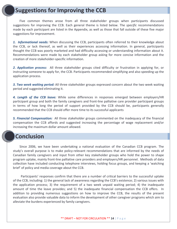# **Suggestions for Improving the CCB**

Five common themes arose from all three stakeholder groups when participants discussed suggestions for improving the CCB. Each general theme is listed below. The *specific* recommendations made by each participant are listed in the Appendix, as well as those that fall outside of these five major suggestions for improvement.

*1. Informational needs:* When discussing the CCB, participants often referred to their knowledge about the CCB, or lack thereof, as well as their experiences accessing information. In general, participants thought the CCB was poorly marketed and had difficulty accessing or understanding information about it. Recommendations were made by each stakeholder group asking for more concise information and the creation of more stakeholder‐specific information.

*2. Application process:* All three stakeholder groups cited difficulty or frustration in applying for, or instructing someone to apply for, the CCB. Participants recommended simplifying and also speeding up the application process.

*3. Two week waiting period:* All three stakeholder groups expressed concern about the two week waiting period and suggested eliminating it.

*4. Length of the CCB leave:* While some differences in responses emerged between employers/HR participant group and both the family caregivers and front‐line palliative care provider participant groups in terms of how long the period of support provided by the CCB should be, participants generally recommended that the CCB should offer more time to its successful applicants

*5. Financial Compensation:* All three stakeholder groups commented on the inadequacy of the financial compensation the CCB affords and suggested increasing the percentage of wage replacement and/or increasing the maximum dollar amount allowed.

# **Conclusion**

Since 2006, we have been undertaking a national evaluation of the Canadian CCB program. The study's overall purpose is to make policy-relevant recommendations that are informed by the needs of Canadian family caregivers and input from other key stakeholder groups who hold the power to shape program uptake, mainly front‐line palliative care providers and employers/HR personnel. Methods of data collection have included conducting telephone interviews, holding focus groups, and keeping a 'watching brief' of policy and media coverage about the CCB.

Participants' responses confirm that there are a number of critical barriers to the successful uptake of the CCB, including: 1) the general lack of awareness regarding the CCB's existence; 2) various issues with the application process; 3) the requirement of a two week unpaid waiting period; 4) the inadequate amount of time the leave provides; and 5) the inadequate financial compensation the CCB offers. In addition to providing numerous suggestions on how to improve the CCB, the results of the present evaluation also provide valuable data to inform the development of other caregiver programs which aim to alleviate the burdens experienced by family caregivers.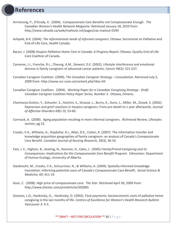# **References**

- Armstrong, P., O'Grady, K. (2004). Compassionate Care Benefits not Compassionate Enough. *The Canadian Women's Health Network Magazine.* Retrieved January 18, 2010 from: [http://www.cdnaids.ca/web/mailouts.nsf/pages/cas](http://www.cdnaids.ca/web/mailouts.nsf/pages/cas-mailout-0199)‐mailout‐0199
- Ashpole, B.R. (2004). *The informational needs of informal caregivers.* Ottawa: Secretariat on Palliative and End‐of‐Life Care, Health Canada.
- Bacon, J. (2008) *Hospice Palliative Home Care in Canada: A Progress Report.* Ottawa: Quality End‐of‐Life Care Coalition of Canada.
- Cameron, J.I., Franche, R‐L., Cheung, A.M., Stewart, D.E. (2002). Lifestyle interference and emotional distress in family caregivers of advanced cancer patients. *Cancer 94*(2): 521‐527.
- Canadian Caregiver Coalition. (2009). *The Canadian Caregiver Strategy – Consultation.* Retrieved July 3, 2009 from: http://www.ccc‐[ccan.ca/content.php?doc=43](http://www.ccc-ccan.ca/content.php?doc=43)
- Canadian Caregiver Coalition. (2004). *Working Paper for a Canadian Caregiving Strategy ‐ Draft*. *Canadian Caregiver Coalition Policy Paper Series, Number 3.* Ottawa, Ontario.
- Chentsova‐Dutton, Y., Schucter, S., Hutchin, S., Strause, L., Burns, K., Dunn, L., Miller, M., Zisook, S. (2002). Depression and grief reactions in hospice caregivers: From pre‐death to 1 year afterwards. *Journal of Affective Disorders 69*(1‐3): 53‐60.
- Cormack, A. (2008). Aging population resulting in more informal caregivers. *Richmond Review*, Lifestyles section, pg 23.
- Crooks, V.A., Williams, A., Stajduhar, K.I., Allan, D.E., Cohen, R. (2007). The information transfer and knowledge acquisition geographies of family caregivers: an analysis of Canada's Compassionate Care Benefit. *Canadian Journal of Nursing Research, 39(3)*, 36‐54.
- Fast, J. E., Higham, B., Keating, N., Dosman, D., Eales, J. (2005) *Family/Friend Caregiving and its Consequences: Implications for the Compassionate Care Benefit Program.* Edmonton: Department of Human Ecology, University of Alberta.
- Giesbrecht, M., Crooks, V.A., Schuurman, N., & Williams, A. (2009). Spatially informed knowledge translation: Informing potential users of Canada's Compassionate Care Benefit. *Social Science & Medicine, 69*, 411‐19.
- Goar, C. (2008). High price of compassionate care. *The Star.* Retrieved April 30, 2009 from: <http://www.thestar.com/printArticle/502805>
- Greaves, L.O., Hankivsky, G., Hankivsky, O. (2002). Final payments: Socioeconomic costs of palliative home caregiving in the last months of life. *Centres of Excellence for Women's Health Research Bulletin Vancouver 3*: 4‐5.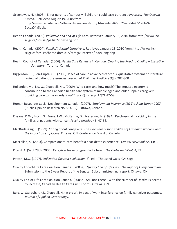- Greenaway, N. (2008). EI for parents of seriously ill children could ease burden: advocates. *The Ottawa Citizen*. Retrieved August 19, 2008 from: <http://www.canada.com/ottawacitizen/news/story.html>?id=d4658625‐eddd‐4c51‐81e9‐ 5bcca04a8abb.
- Health Canada. (2009). *Palliative and End‐of‐Life Care*. Retrieved January 18, 2010 from: [http://www.hc](http://www.hc-sc.gc.ca/hcs-sss/palliat/index-eng.php)‐ sc.gc.ca/hcs‐[sss/palliat/index](http://www.hc-sc.gc.ca/hcs-sss/palliat/index-eng.php)‐eng.php
- Health Canada. (2004). *Family/Informal Caregivers.* Retrieved January 18, 2010 from: [http://www.hc](http://www.hc-sc.gc.ca/hcs-sss/home-domicile/caregiv-interven/index-eng.php)‐ sc.gc.ca/hcs‐sss/home‐[domicile/caregiv](http://www.hc-sc.gc.ca/hcs-sss/home-domicile/caregiv-interven/index-eng.php)‐interven/index‐eng.php
- Health Council of Canada. (2006). *Health Care Renewal in Canada: Clearing the Road to Quality – Executive Summary*. Toronto, Canada.
- Higgenson, I.J., Sen‐Gupta, G.J. (2000). Place of care in advanced cancer: A qualitative systematic literature review of patient preferences. *Journal of Palliative Medicine 3*(3), 287‐300.
- Hollander, M.J, Liu, G., Chappell, N.L. (2009). Who cares and how much? The imputed economic contribution to the Canadian health care system of middle aged and older unpaid caregivers providing care to the elderly. *Healthcare Quarterly, 12(2),* 42‐59.
- Human Resources Social Development Canada. (2007). *Employment Insurance (EI) Tracking Survey 2007.*  (Public Opinion Research No. 514‐05). Ottawa, Canada.
- Kissane, D.W., Bloch, S., Burns, I.W., McKenzie, D., Posterino, M. (1994). Psychosocial morbidity in the families of patients with cancer. *Psycho‐oncology 3*: 47‐56.
- MacBride‐King, J. (1999). *Caring about caregivers: The eldercare responsibilities of Canadian workers and the impact on employers*. Ottawa: ON, Conference Board of Canada.
- MacLellan, S. (2003). Compassionate‐care benefit a near‐death experience. *Capital News online,* 14:1.

Picard, A. (Sept 29th, 2005). Caregiver leave program lacks heart. *The Globe and Mail, A,* 21.

- Patton, M.Q. (1997). *Utilization‐focused evaluation* (3rd ed.). Thousand Oaks, CA: Sage.
- Quality End‐of‐Life Care Coalition Canada. (2005a). *Quality End of Life Care: The Right of Every Canadian*. Submission to the 5 year Report of the Senate. Subcommittee final report: Ottawa, ON.
- Quality End‐of‐Life Care Coalition Canada. (2005b). Still not There ‐ With the Number of Deaths Expected to Increase, Canadian Health Care Crisis Looms. Ottawa, ON.
- Reid, C., Stajduhar, K.I., Chappell, N. (in press). Impact of work interference on family caregiver outcomes. *Journal of Applied Gerontology*.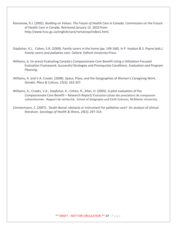- Romanow, R.J. (2002). *Building on Values: The Future of Health Care in Canada*. Commission on the Future of Health Care in Canada. Retrieved January 15, 2010 from: <http://www.hcsc.gc.ca/english/care/romanow/index1.html>.
- Stajduhar, K.I., Cohen, S.R. (2009). Family carers in the home (pp. 149‐168). In P. Hudson & S. Payne (eds.) *Family carers and palliative care*. Oxford: Oxford University Press.
- Williams, A. (in press) Evaluating Canada's Compassionate Care Benefit Using a Utilization‐Focused Evaluation Framework: Successful Strategies and Prerequisite Conditions. *Evaluation and Program Planning*.
- Williams, A. and V.A. Crooks. (2008). Space, Place, and the Geographies of Women's Caregiving Work. *Gender, Place & Culture, 15(3)*, 243‐247.
- Williams, A., Crooks, V.A., Stajduhar, K., Cohen, R., Allan, D. (2005). A pilot evaluation of the Compassionate Care Benefit – Research Report/ Évaluation pilote des prestations de compassion subventionnée ‐ Rapport de recherché. School of Geography and Earth Sciences, McMaster University.
- Zimmermann, C. (2007). Death denial: obstacle or instrument for palliative care? An analysis of clinical literature. *Sociology of Health & Illness, 29(2),* 297‐314.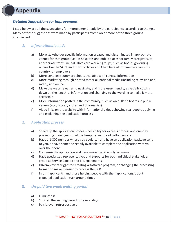# **Appendix**

## *Detailed Suggestions for Improvement*

Listed below are all the suggestions for improvement made by the participants, according to themes. Many of these suggestions were made by participants from two or more of the three groups interviewed.

## *1. Informational needs*

- a) More stakeholder specific information created and disseminated in appropriate venues for that group (i.e.: In hospitals and public places for family caregivers, to appropriate front‐line palliative care worker groups, such as bodies governing nurses like the VON, and to workplaces and Chambers of Commerce across the country for employers)
- b) More condense summary sheets available with concise information
- c) More marketing through printed material, national media (including television and radio), and online
- d) Make the website easier to navigate, and more user‐friendly, especially cutting down on the length of information and changing to the wording to make it more accessible
- e) More information posted in the community, such as on bulletin boards in public venues (e.g., grocery stores and pharmacies)
- f) Video links on the website with informational videos showing real people applying and explaining the application process

## *2. Application process*

- a) Speed up the application process- possibility for express process and one-day processing in recognition of the temporal nature of palliative care
- b) Have a 1‐800 number where you could call and have an application package sent to you, or have someone readily available to complete the application with you over the phone
- c) Condense the application and have more user‐friendly language
- d) Have specialized representatives and supports for each individual stakeholder group at Service Canada and EI Departments
- e) HR/employers suggested creating a software program, or changing the processing format, to make it easier to process the CCB
- f) Inform applicants, and those helping people with their applications, about expected application turn‐around times

## **3.** *Un‐paid two week waiting period*

- a) Eliminate it
- b) Shorten the waiting period to several days
- c) Pay it, even retrospectively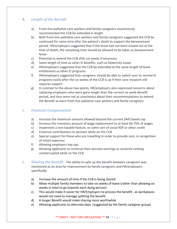## *4. Length of the Benefit*

- a) Front‐line palliative care workers and family caregivers unanimously recommended the CCB be extended in length
- b) Both front‐line palliative care workers and family caregivers suggested the CCB be continued for some time after the patient's death to support the bereavement period. HR/employers suggested that if the leave had not been maxed out at the time of death, the remaining time should be allowed to be taken as bereavement leave
- c) Potential to extend the CCB after six weeks if necessary
- d) Same length of time as other EI benefits, such as Maternity Leave
- e) HR/employers suggested that the CCB be extended to the same length of leave entitlement as other EI programs
- f) HR/employers suggested that caregivers should be able to switch over to normal EI programs easily after the six weeks of the CCB is up if their care recipient still requires support
- g) In contrast to the above two points, HR/employers also expressed concerns about replacing employers who were gone longer than the current six week Benefit period, and thus were not as unanimous about their recommendations to extend the Benefit as were front‐line palliative care workers and family caregivers

## **5.** *Financial Compensation*

- a) Increase the maximum amount allowed beyond the current \$447/week cap
- b) Increase the monetary amount of wage replacement to at least 60-75% of wages
- c) Implement a non‐taxable feature, or some sort of social RSP or other credit
- d) Continue contributions to pension while on the CCB
- e) Special support for those who are travelling in order to provide care, in recognition of travel expenses
- f) Allowing employers top-ups
- g) Allowing applicants to continue their pension earnings or seniority ranking uninterrupted while on the CCB
- **6.** *Sharing the benefit:* The ability to split up the benefit between caregivers was mentioned as an area for improvement by family caregivers and HR/employers specifically.
	- a) Increase the amount of time if the CCB is being shared
	- b) Allow multiple family members to take six weeks of leave (rather than allowing six weeks in total to go towards each dying person)
	- c) This would make it easier for HR/Employers to process the benefit , as workplaces would not need to manage splitting the benefit
	- d) A longer Benefit would make sharing more worthwhile
	- e) Allowing applicants to alternate days (suggested by the family caregiver group)